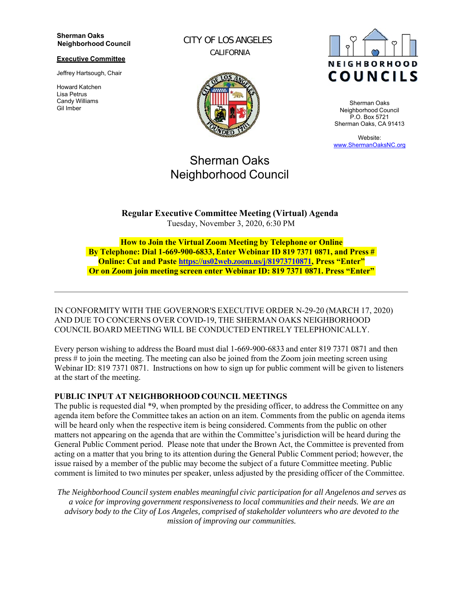#### **Sherman Oaks Neighborhood Council**

### **Executive Committee**

Jeffrey Hartsough, Chair

Howard Katchen Lisa Petrus Candy Williams Gil Imber

CITY OF LOS ANGELES CALIFORNIA



# Sherman Oaks Neighborhood Council



Sherman Oaks Neighborhood Council P.O. Box 5721 Sherman Oaks, CA 91413

Website: www.ShermanOaksNC.org

**Regular Executive Committee Meeting (Virtual) Agenda** Tuesday, November 3, 2020, 6:30 PM

**How to Join the Virtual Zoom Meeting by Telephone or Online By Telephone: Dial 1-669-900-6833, Enter Webinar ID 819 7371 0871, and Press # Online: Cut and Paste https://us02web.zoom.us/j/81973710871, Press "Enter" Or on Zoom join meeting screen enter Webinar ID: 819 7371 0871. Press "Enter"**

IN CONFORMITY WITH THE GOVERNOR'S EXECUTIVE ORDER N-29-20 (MARCH 17, 2020) AND DUE TO CONCERNS OVER COVID-19, THE SHERMAN OAKS NEIGHBORHOOD COUNCIL BOARD MEETING WILL BE CONDUCTED ENTIRELY TELEPHONICALLY.

Every person wishing to address the Board must dial 1-669-900-6833 and enter 819 7371 0871 and then press # to join the meeting. The meeting can also be joined from the Zoom join meeting screen using Webinar ID: 819 7371 0871. Instructions on how to sign up for public comment will be given to listeners at the start of the meeting.

# **PUBLIC INPUT AT NEIGHBORHOOD COUNCIL MEETINGS**

The public is requested dial \*9, when prompted by the presiding officer, to address the Committee on any agenda item before the Committee takes an action on an item. Comments from the public on agenda items will be heard only when the respective item is being considered. Comments from the public on other matters not appearing on the agenda that are within the Committee's jurisdiction will be heard during the General Public Comment period. Please note that under the Brown Act, the Committee is prevented from acting on a matter that you bring to its attention during the General Public Comment period; however, the issue raised by a member of the public may become the subject of a future Committee meeting. Public comment is limited to two minutes per speaker, unless adjusted by the presiding officer of the Committee.

*The Neighborhood Council system enables meaningful civic participation for all Angelenos and serves as a voice for improving government responsiveness to local communities and their needs. We are an advisory body to the City of Los Angeles, comprised of stakeholder volunteers who are devoted to the mission of improving our communities.*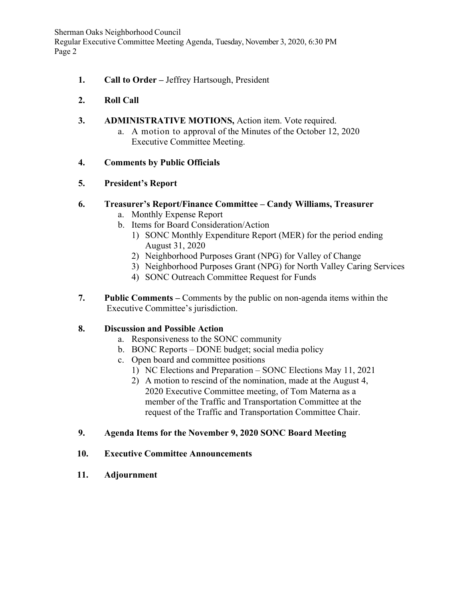Sherman Oaks Neighborhood Council Regular Executive Committee Meeting Agenda, Tuesday, November 3, 2020, 6:30 PM Page 2

- **1. Call to Order** Jeffrey Hartsough, President
- **2. Roll Call**
- **3. ADMINISTRATIVE MOTIONS,** Action item. Vote required.
	- a. A motion to approval of the Minutes of the October 12, 2020 Executive Committee Meeting.
- **4. Comments by Public Officials**
- **5. President's Report**

# **6. Treasurer's Report/Finance Committee – Candy Williams, Treasurer**

- a. Monthly Expense Report
- b. Items for Board Consideration/Action
	- 1) SONC Monthly Expenditure Report (MER) for the period ending August 31, 2020
	- 2) Neighborhood Purposes Grant (NPG) for Valley of Change
	- 3) Neighborhood Purposes Grant (NPG) for North Valley Caring Services
	- 4) SONC Outreach Committee Request for Funds
- **7. Public Comments** Comments by the public on non-agenda items within the Executive Committee's jurisdiction.

# **8. Discussion and Possible Action**

- a. Responsiveness to the SONC community
- b. BONC Reports DONE budget; social media policy
- c. Open board and committee positions
	- 1) NC Elections and Preparation SONC Elections May 11, 2021
	- 2) A motion to rescind of the nomination, made at the August 4, 2020 Executive Committee meeting, of Tom Materna as a member of the Traffic and Transportation Committee at the request of the Traffic and Transportation Committee Chair.
- **9. Agenda Items for the November 9, 2020 SONC Board Meeting**
- **10. Executive Committee Announcements**
- **11. Adjournment**